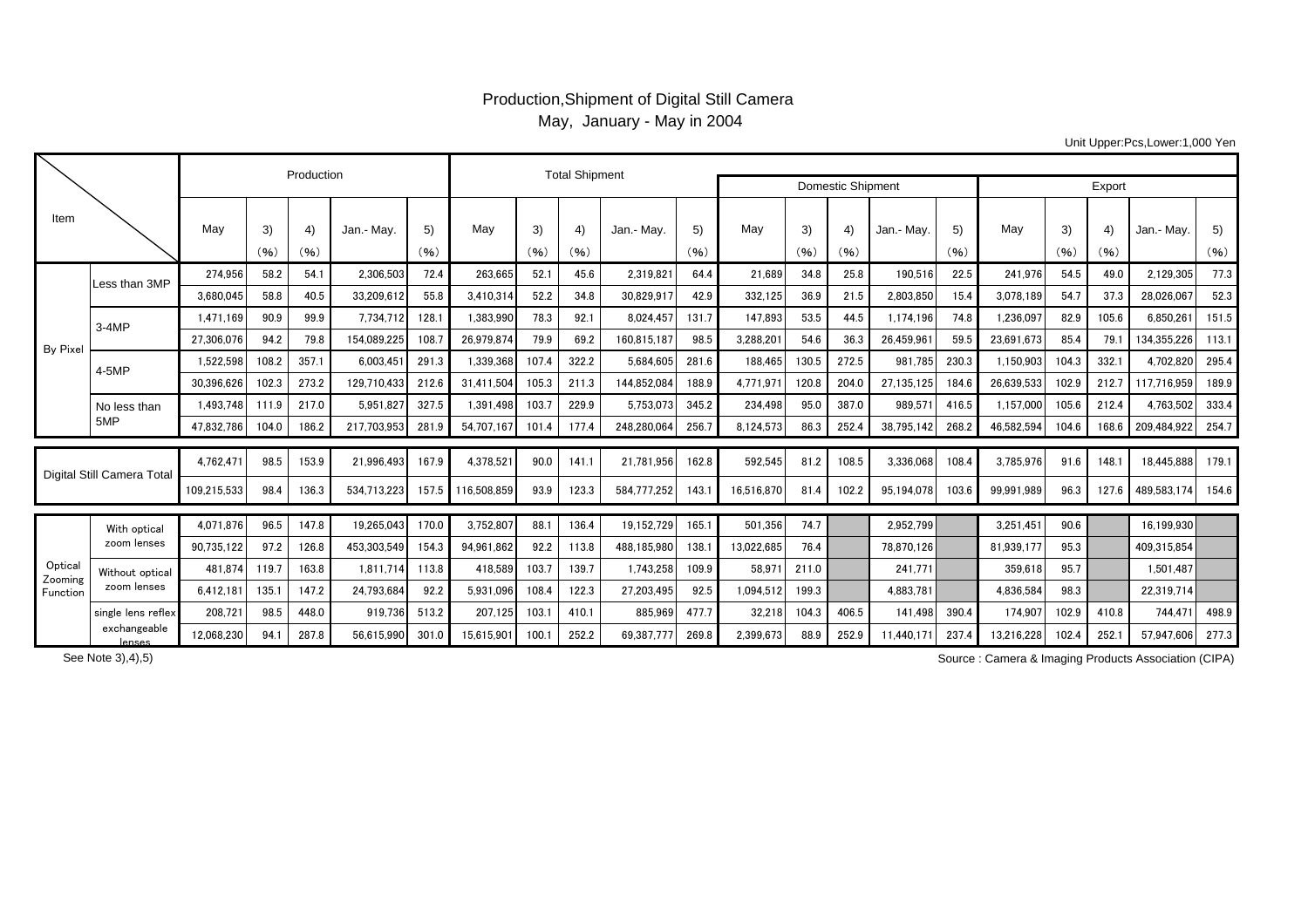## Production,Shipment of Digital Still Camera May, January - May in 2004

Unit Upper:Pcs,Lower:1,000 Yen

|                                |                                |             | Production |            | <b>Total Shipment</b> |            |             |            |           |                          |            |            |            |            |            |            |            |            |                           |                  |            |
|--------------------------------|--------------------------------|-------------|------------|------------|-----------------------|------------|-------------|------------|-----------|--------------------------|------------|------------|------------|------------|------------|------------|------------|------------|---------------------------|------------------|------------|
|                                |                                |             |            |            |                       |            |             |            |           | <b>Domestic Shipment</b> | Export     |            |            |            |            |            |            |            |                           |                  |            |
| Item                           |                                | May         | 3)<br>(96) | 4)<br>(96) | Jan.- May.            | 5)<br>(96) | May         | 3)<br>(96) | 4<br>(96) | Jan.- May.               | 5)<br>(96) | May        | 3)<br>(96) | 4)<br>(96) | Jan.- May. | 5)<br>(96) | May        | 3)<br>(96) | $\left( 4\right)$<br>(96) | Jan.- May        | 5)<br>(96) |
| By Pixe                        | Less than 3MP                  | 274.956     | 58.2       | 54.1       | 2.306.503             | 72.4       | 263,665     | 52.1       | 45.6      | 2,319,821                | 64.4       | 21.689     | 34.8       | 25.8       | 190.516    | 22.5       | 241,976    | 54.5       | 49.0                      | 2,129,305        | 77.3       |
|                                |                                | 3.680.045   | 58.8       | 40.5       | 33.209.612            | 55.8       | 3.410.314   | 52.2       | 34.8      | 30.829.917               | 42.9       | 332.125    | 36.9       | 21.5       | 2.803.850  | 15.4       | 3.078.189  | 54.7       | 37.3                      | 28.026.067       | 52.3       |
|                                | $3-4MP$                        | 1.471.169   | 90.9       | 99.9       | 7,734,712             | 128.       | 1,383,990   | 78.3       | 92.1      | 8,024,457                | 131.7      | 147,893    | 53.5       | 44.5       | 1.174.196  | 74.8       | 1,236,097  | 82.9       | 105.6                     | 6,850,26         | 151.5      |
|                                |                                | 27,306,076  | 94.2       | 79.8       | 154,089,225           | 108.       | 26.979.874  | 79.9       | 69.2      | 160,815,187              | 98.5       | 3,288,201  | 54.6       | 36.3       | 26,459,961 | 59.5       | 23,691,673 | 85.4       | 79.1                      | 134.355.226      | 113.1      |
|                                | 4-5MP                          | 1,522,598   | 108.2      | 357.1      | 6,003,451             | 291.3      | 1.339.368   | 107.4      | 322.2     | 5.684.605                | 281.6      | 188.465    | 130.5      | 272.5      | 981.785    | 230.3      | 1,150,903  | 104.3      | 332.                      | 4.702.820        | 295.4      |
|                                |                                | 30.396.626  | 102.3      | 273.2      | 129,710,433           | 212.6      | 31.411.504  | 105.3      | 211.3     | 144.852.084              | 188.9      | 4.771.97   | 120.8      | 204.0      | 27.135.125 | 184.6      | 26,639,533 | 102.9      | 212.7                     | 117.716.959      | 189.9      |
|                                | No less than<br>5MP            | 1.493.748   | 111.9      | 217.0      | 5.951.827             | 327.5      | 1.391.498   | 103.7      | 229.9     | 5,753,073                | 345.2      | 234.498    | 95.0       | 387.0      | 989.571    | 416.5      | 1,157,000  | 105.6      | 212.4                     | 4.763.502        | 333.4      |
|                                |                                | 47.832.786  | 104.0      | 186.2      | 217.703.953           | 281.9      | 54.707.167  | 101.4      | 177.4     | 248.280.064              | 256.7      | 8.124.573  | 86.3       | 252.4      | 38.795.142 | 268.2      | 46.582.594 | 104.6      | 168.6                     | 209.484.922      | 254.7      |
| Digital Still Camera Total     |                                | 4,762,471   | 98.5       | 153.9      | 21.996.493            | 167.9      | 4,378,521   | 90.0       | 141.1     | 21,781,956               | 162.8      | 592,545    | 81.2       | 108.5      | 3.336.068  | 108.4      | 3,785,976  | 91.6       | 148.1                     | 18.445.888       | 179.1      |
|                                |                                | 109,215,533 | 98.4       | 136.3      | 534,713,223           | 157.5      | 116,508,859 | 93.9       | 123.3     | 584.777.252              | 143.7      | 16,516,870 | 81.4       | 102.2      | 95,194,078 | 103.6      | 99,991,989 | 96.3       | 127.6                     | 489,583,174      | 154.6      |
| Optical<br>Zooming<br>Function | With optical<br>zoom lenses    | 4,071,876   | 96.5       | 147.8      | 19,265,043            | 170.0      | 3,752,807   | 88.1       | 136.4     | 19,152,729               | 165.1      | 501,356    | 74.7       |            | 2,952,799  |            | 3,251,451  | 90.6       |                           | 16,199,930       |            |
|                                |                                | 90,735,122  | 97.2       | 126.8      | 453,303,549           | 154.3      | 94.961.862  | 92.2       | 113.8     | 488,185,980              | 138.1      | 13,022,685 | 76.4       |            | 78.870.126 |            | 81.939.177 | 95.3       |                           | 409,315,854      |            |
|                                | Without optical<br>zoom lenses | 481,874     | 119.7      | 163.8      | 1.811.714             | 113.8      | 418.589     | 103.7      | 139.7     | 1,743,258                | 109.9      | 58.971     | 211.0      |            | 241.771    |            | 359.618    | 95.7       |                           | 1.501.487        |            |
|                                |                                | 6.412.181   | 135.1      | 147.2      | 24.793.684            | 92.2       | 5.931.096   | 108.4      | 122.3     | 27.203.495               | 92.5       | 1.094.512  | 199.3      |            | 4.883.781  |            | 4.836.584  | 98.3       |                           | 22.319.714       |            |
|                                | single lens reflex             | 208,721     | 98.5       | 448.0      | 919,736               | 513.2      | 207,125     | 103.1      | 410.1     | 885,969                  | 477.7      | 32,218     | 104.3      | 406.5      | 141.498    | 390.4      | 174,907    | 102.9      | 410.8                     | 744,471          | 498.9      |
|                                | exchangeable<br>lenses         | 12,068,230  | 94.1       | 287.8      | 56,615,990            | 301.0      | 15,615,901  | 100.7      | 252.2     | 69,387,777               | 269.8      | 2,399,673  | 88.9       | 252.9      | 11.440.171 | 237.4      | 13,216,228 | 102.4      | 252.1                     | 57,947,606 277.3 |            |

See Note 3),4),5)

Source : Camera & Imaging Products Association (CIPA)